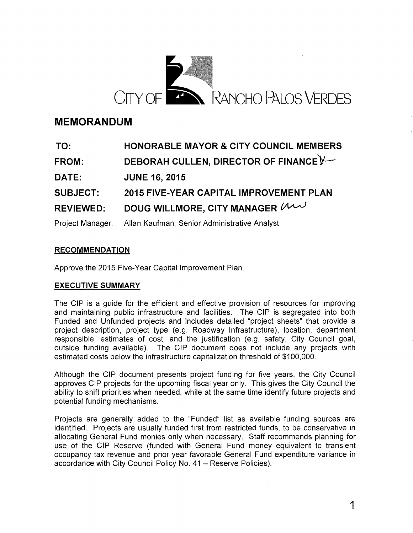

# **MEMORANDUM**

| TO:              | <b>HONORABLE MAYOR &amp; CITY COUNCIL MEMBERS</b>             |
|------------------|---------------------------------------------------------------|
| <b>FROM:</b>     | DEBORAH CULLEN, DIRECTOR OF FINANCE Y                         |
| <b>DATE:</b>     | <b>JUNE 16, 2015</b>                                          |
| <b>SUBJECT:</b>  | <b>2015 FIVE-YEAR CAPITAL IMPROVEMENT PLAN</b>                |
| <b>REVIEWED:</b> | DOUG WILLMORE, CITY MANAGER UM                                |
|                  | Project Manager: Allan Kaufman, Senior Administrative Analyst |

## **RECOMMENDATION**

Approve the 2015 Five-Year Capital Improvement Plan.

## **EXECUTIVE SUMMARY**

The CIP is a guide for the efficient and effective provision of resources for improving and maintaining public infrastructure and facilities. The CIP is segregated into both Funded and Unfunded projects and includes detailed "project sheets" that provide a project description, project type (e.g. Roadway Infrastructure), location, department responsible, estimates of cost, and the justification (e.g. safety, City Council goal, outside funding available). The CIP document does not include any projects with estimated costs below the infrastructure capitalization threshold of \$100,000.

Although the CIP document presents project funding for five years, the City Council approves CIP projects for the upcoming fiscal year only. This gives the City Council the ability to shift priorities when needed, while at the same time identify future projects and potential funding mechanisms.

Projects are generally added to the "Funded" list as available funding sources are identified. Projects are usually funded first from restricted funds, to be conservative in allocating General Fund monies only when necessary. Staff recommends planning for use of the CIP Reserve (funded with General Fund money equivalent to transient occupancy tax revenue and prior year favorable General Fund expenditure variance in accordance with City Council Policy No. 41 - Reserve Policies).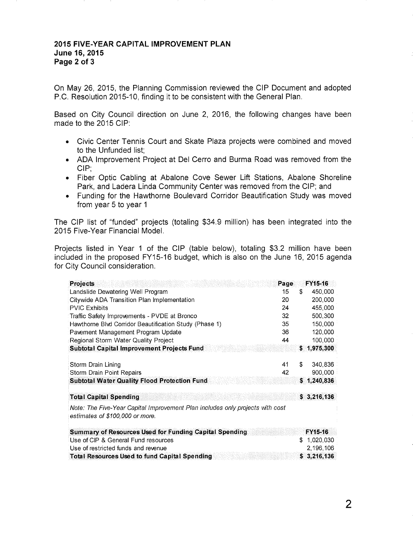## **2015 FIVE-YEAR CAPITAL IMPROVEMENT PLAN June 16, 2015 Page 2 of 3**

On May 26, 2015, the Planning Commission reviewed the CIP Document and adopted P.C. Resolution 2015-10, finding it to be consistent with the General Plan.

Based on City Council direction on June 2, 2016, the following changes have been made to the 2015 CIP:

- Civic Center Tennis Court and Skate Plaza projects were combined and moved to the Unfunded list;
- ADA Improvement Project at Del Cerro and Burma Road was removed from the CIP;
- Fiber Optic Cabling at Abalone Cove Sewer Lift Stations, Abalone Shoreline Park, and Ladera Linda Community Center was removed from the CIP; and
- Funding for the Hawthorne Boulevard Corridor Beautification Study was moved from year 5 to year 1

The CIP list of "funded" projects (totaling \$34.9 million) has been integrated into the 2015 Five-Year Financial Model.

Projects listed in Year 1 of the CIP (table below), totaling \$3.2 million have been included in the proposed FY15-16 budget, which is also on the June 16, 2015 agenda for City Council consideration.

| <b>Projects</b>                                                                                                  | Page |    | <b>FY15-16</b> |
|------------------------------------------------------------------------------------------------------------------|------|----|----------------|
| Landslide Dewatering Well Program                                                                                | 15   | \$ | 450,000        |
| Citywide ADA Transition Plan Implementation                                                                      | 20   |    | 200,000        |
| <b>PVIC Exhibits</b>                                                                                             | 24   |    | 455,000        |
| Traffic Safety Improvements - PVDE at Bronco                                                                     | 32   |    | 500,300        |
| Hawthorne Blvd Corridor Beautification Study (Phase 1)                                                           | 35   |    | 150,000        |
| Pavement Management Program Update                                                                               | 36   |    | 120,000        |
| Regional Storm Water Quality Project                                                                             | 44   |    | 100,000        |
| <b>Subtotal Capital Improvement Projects Fund</b>                                                                |      | s  | 1,975,300      |
| Storm Drain Lining                                                                                               | 41   | \$ | 340,836        |
| Storm Drain Point Repairs                                                                                        | 42   |    | 900,000        |
| <b>Subtotal Water Quality Flood Protection Fund</b>                                                              |      | S. | 1,240,836      |
| <b>Total Capital Spending</b>                                                                                    |      |    | \$3,216,136    |
| Note: The Five-Year Capital Improvement Plan includes only projects with cost<br>estimates of \$100,000 or more. |      |    |                |
| <b>Summary of Resources Used for Funding Capital Spending</b>                                                    |      |    | FY15-16        |
| Use of CIP & General Fund resources                                                                              |      | S  | 1,020,030      |
| Use of restricted funds and revenue                                                                              |      |    | 2,196,106      |
| <b>Total Resources Used to fund Capital Spending</b>                                                             |      |    | \$3,216,136    |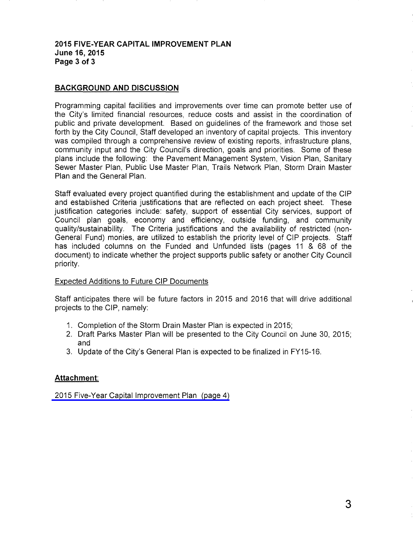## **2015 FIVE-YEAR CAPITAL IMPROVEMENT PLAN June 16, 2015 Page 3 of 3**

## **BACKGROUND AND DISCUSSION**

Programming capital facilities and improvements over time can promote better use of the City's limited financial resources, reduce costs and assist in the coordination of public and private development. Based on guidelines of the framework and those set forth by the City Council, Staff developed an inventory of capital projects. This inventory was compiled through a comprehensive review of existing reports, infrastructure plans, community input and the City Council's direction, goals and priorities. Some of these plans include the following: the Pavement Management System, Vision Plan, Sanitary Sewer Master Plan, Public Use Master Plan, Trails Network Plan, Storm Drain Master Plan and the General Plan.

Staff evaluated every project quantified during the establishment and update of the CIP and established Criteria justifications that are reflected on each project sheet. These justification categories include: safety, support of essential City services, support of Council plan goals, economy and efficiency, outside funding, and community quality/sustainability. The Criteria justifications and the availability of restricted (non-General Fund) monies, are utilized to establish the priority level of CIP projects. Staff has included columns on the Funded and Unfunded lists (pages 11 & 68 of the document) to indicate whether the project supports public safety or another City Council priority.

## Expected Additions to Future CIP Documents

Staff anticipates there will be future factors in 2015 and 2016 that will drive additional projects to the CIP, namely:

- 1. Completion of the Storm Drain Master Plan is expected in 2015;
- 2. Draft Parks Master Plan will be presented to the City Council on June 30, 2015; and
- 3. Update of the City's General Plan is expected to be finalized in FY15-16.

## **Attachment:**

[2015 Five-Year Capital Improvement Plan \(page 4\)](#page-3-0)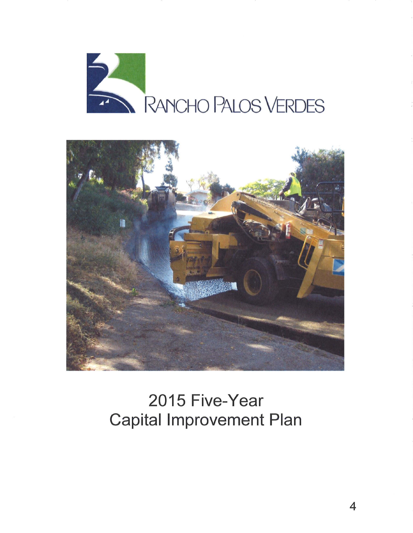<span id="page-3-0"></span>



# 2015 Five-Year Capital Improvement Plan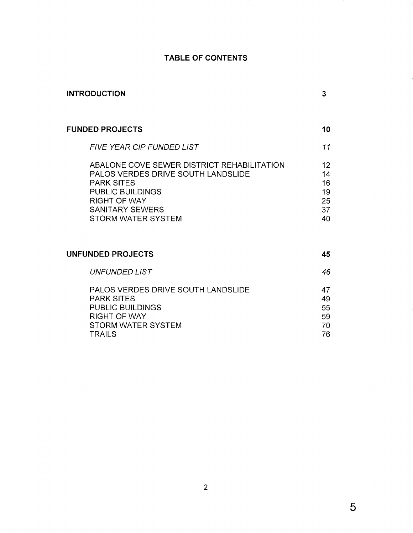# **TABLE OF CONTENTS**

| <b>INTRODUCTION</b> |  |
|---------------------|--|
|---------------------|--|

| <b>FUNDED PROJECTS</b>                                                                  | 10       |
|-----------------------------------------------------------------------------------------|----------|
| <b>FIVE YEAR CIP FUNDED LIST</b>                                                        | 11       |
| ABALONE COVE SEWER DISTRICT REHABILITATION<br><b>PALOS VERDES DRIVE SOUTH LANDSLIDE</b> | 12<br>14 |
| <b>PARK SITES</b>                                                                       | 16       |
| <b>PUBLIC BUILDINGS</b>                                                                 | 19       |
| <b>RIGHT OF WAY</b>                                                                     | 25       |
| SANITARY SEWERS                                                                         | 37       |
| STORM WATER SYSTEM                                                                      | 40       |

| <b>UNFUNDED PROJECTS</b>                                                                                                                      | 45                         |
|-----------------------------------------------------------------------------------------------------------------------------------------------|----------------------------|
| UNFUNDED LIST                                                                                                                                 | 46                         |
| <b>PALOS VERDES DRIVE SOUTH LANDSLIDE</b><br><b>PARK SITES</b><br><b>PUBLIC BUILDINGS</b><br><b>RIGHT OF WAY</b><br><b>STORM WATER SYSTEM</b> | 47<br>49<br>55<br>59<br>70 |
| TRAII S                                                                                                                                       | 76                         |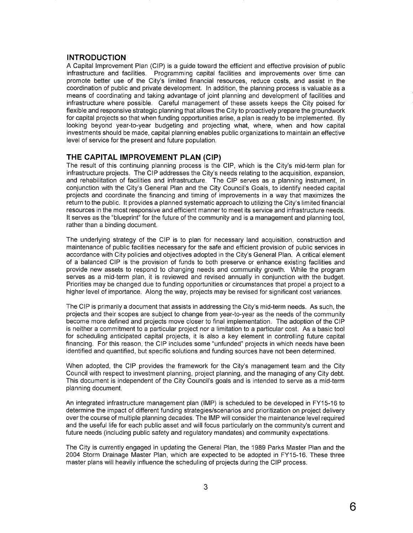## **INTRODUCTION**

A Capital Improvement Plan (CIP) is a guide toward the efficient and effective provision of public infrastructure and facilities. Programming capital facilities and improvements over time can promote better use of the City's limited financial resources, reduce costs, and assist in the coordination of public and private development. In addition, the planning process is valuable as a means of coordinating and taking advantage of joint planning and development of facilities and infrastructure where possible. Careful management of these assets keeps the City poised for flexible and responsive strategic planning that allows the City to proactively prepare the groundwork for capital projects so that when funding opportunities arise, a plan is ready to be implemented. By looking beyond year-to-year budgeting and projecting what, where, when and how capital investments should be made, capital planning enables public organizations to maintain an effective level of service for the present and future population.

## **THE CAPITAL IMPROVEMENT PLAN (CIP)**

The result of this continuing planning process is the CIP, which is the City's mid-term plan for infrastructure projects. The CIP addresses the City's needs relating to the acquisition, expansion, and rehabilitation of facilities and infrastructure. The CIP serves as a planning instrument, in conjunction with the City's General Plan and the City Council's Goals, to identify needed capital projects and coordinate the financing and timing of improvements in a way that maximizes the return to the public. It provides a planned systematic approach to utilizing the City's limited financial resources in the most responsive and efficient manner to meet its service and infrastructure needs. It serves as the "blueprint" for the future of the community and is a management and planning tool, rather than a binding document.

The underlying strategy of the CIP is to plan for necessary land acquisition, construction and maintenance of public facilities necessary for the safe and efficient provision of public services in accordance with City policies and objectives adopted in the City's General Plan. A critical element of a balanced CIP is the provision of funds to both preserve or enhance existing facilities and provide new assets to respond to changing needs and community growth. While the program serves as a mid-term plan, it is reviewed and revised annually in conjunction with the budget. Priorities may be changed due to funding opportunities or circumstances that propel a project to a higher level of importance. Along the way, projects may be revised for significant cost variances.

The CIP is primarily a document that assists in addressing the City's mid-term needs. As such, the projects and their scopes are subject to change from year-to-year as the needs of the community become more defined and projects move closer to final implementation. The adoption of the CIP is neither a commitment to a particular project nor a limitation to a particular cost. As a basic tool for scheduling anticipated capital projects, it is also a key element in controlling future capital financing. For this reason, the CIP includes some "unfunded" projects in which needs have been identified and quantified, but specific solutions and funding sources have not been determined.

When adopted, the CIP provides the framework for the City's management team and the City Council with respect to investment planning, project planning, and the managing of any City debt. This document is independent of the City Council's goals and is intended to serve as a mid-term planning document.

An integrated infrastructure management plan (IMP) is scheduled to be developed in FY15-16 to determine the impact of different funding strategies/scenarios and prioritization on project delivery over the course of multiple planning decades. The IMP will consider the maintenance level required and the useful life for each public asset and will focus particularly on the community's current and future needs (including public safety and regulatory mandates) and community expectations.

The City is currently engaged in updating the General Plan, the 1989 Parks Master Plan and the 2004 Storm Drainage Master Plan, which are expected to be adopted in FY15-16. These three master plans will heavily influence the scheduling of projects during the CIP process.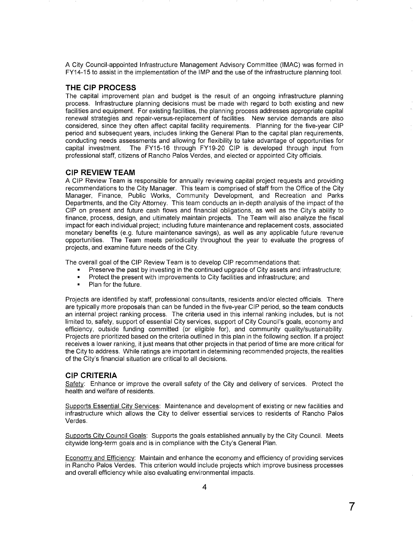A City Council-appointed Infrastructure Management Advisory Committee (IMAC) was formed in FY14-15 to assist in the implementation of the IMP and the use of the infrastructure planning tool.

## **THE CIP PROCESS**

The capital improvement plan and budget is the result of an ongoing infrastructure planning process. Infrastructure planning decisions must be made with regard to both existing and new facilities and equipment. For existing facilities, the planning process addresses appropriate capital renewal strategies and repair-versus-replacement of facilities. New service demands are also considered, since they often affect capital facility requirements. Planning for the five-year CIP period and subsequent years, includes linking the General Plan to the capital plan requirements, conducting needs assessments and allowing for flexibility to take advantage of opportunities for capital investment. The FY15-16 through FY19-20 CIP is developed through input from professional staff, citizens of Rancho Palos Verdes, and elected or appointed City officials.

## **CIP REVIEW TEAM**

A CIP Review Team is responsible for annually reviewing capital project requests and providing recommendations to the City Manager. This team is comprised of staff from the Office of the City Manager, Finance, Public Works, Community Development, and Recreation and Parks Departments, and the City Attorney. This team conducts an in-depth analysis of the impact of the CIP on present and future cash flows and financial obligations, as well as the City's ability to finance, process, design, and ultimately maintain projects. The Team will also analyze the fiscal impact for each individual project; including future maintenance and replacement costs, associated monetary benefits (e.g. future maintenance savings), as well as any applicable future revenue opportunities. The Team meets periodically throughout the year to evaluate the progress of projects, and examine future needs of the City.

The overall goal of the CIP Review Team is to develop CIP recommendations that:

- Preserve the past by investing in the continued upgrade of City assets and infrastructure;
- Protect the present with improvements to City facilities and infrastructure; and
- Plan for the future.

Projects are identified by staff, professional consultants, residents and/or elected officials. There are typically more proposals than can be funded in the five-year CIP period, so the team conducts an internal project ranking process. The criteria used in this internal ranking includes, but is not limited to, safety, support of essential City services, support of City Council's goals, economy and efficiency, outside funding committed (or eligible for), and community quality/sustainability. Projects are prioritized based on the criteria outlined in this plan in the following section. If a project receives a lower ranking, it just means that other projects in that period of time are more critical for the City to address. While ratings are important in determining recommended projects, the realities of the City's financial situation are critical to all decisions.

## **CIP CRITERIA**

Safety: Enhance or improve the overall safety of the City and delivery of services. Protect the health and welfare of residents.

Supports Essential City Services: Maintenance and development of existing or new facilities and infrastructure which allows the City to deliver essential services to residents of Rancho Palos Verdes.

Supports City Council Goals: Supports the goals established annually by the City Council. Meets citywide long-term goals and is in compliance with the City's General Plan.

Economy and Efficiency: Maintain and enhance the economy and efficiency of providing services in Rancho Palos Verdes. This criterion would include projects which improve business processes and overall efficiency while also evaluating environmental impacts.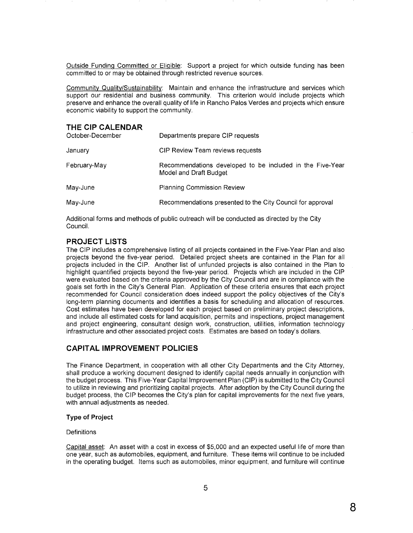Outside Funding Committed or Eligible: Support a project for which outside funding has been committed to or may be obtained through restricted revenue sources.

Community Quality/Sustainability: Maintain and enhance the infrastructure and services which support our residential and business community. This criterion would include projects which preserve and enhance the overall quality of life in Rancho Palos Verdes and projects which ensure economic viability to support the community.

## **THE CIP CALENDAR**

| October-December | Departments prepare CIP requests                                                    |
|------------------|-------------------------------------------------------------------------------------|
| January          | CIP Review Team reviews requests                                                    |
| February-May     | Recommendations developed to be included in the Five-Year<br>Model and Draft Budget |
| May-June         | Planning Commission Review                                                          |
| May-June         | Recommendations presented to the City Council for approval                          |
|                  |                                                                                     |

Additional forms and methods of public outreach will be conducted as directed by the City Council.

## **PROJECT LISTS**

The CIP includes a comprehensive listing of all projects contained in the Five-Year Plan and also projects beyond the five-year period. Detailed project sheets are contained in the Plan for all projects included in the CIP. Another list of unfunded projects is also contained in the Plan to highlight quantified projects beyond the five-year period. Projects which are included in the CIP were evaluated based on the criteria approved by the City Council and are in compliance with the goals set forth in the City's General Plan. Application of these criteria ensures that each project recommended for Council consideration does indeed support the policy objectives of the City's long-term planning documents and identifies a basis for scheduling and allocation of resources. Cost estimates have been developed for each project based on preliminary project descriptions, and include all estimated costs for land acquisition, permits and inspections, project management and project engineering, consultant design work, construction, utilities, information technology infrastructure and other associated project costs. Estimates are based on today's dollars.

## **CAPITAL IMPROVEMENT POLICIES**

The Finance Department, in cooperation with all other City Departments and the City Attorney, shall produce a working document designed to identify capital needs annually in conjunction with the budget process. This Five-Year Capital Improvement Plan (CIP) is submitted to the City Council to utilize in reviewing and prioritizing capital projects. After adoption by the City Council during the budget process, the CIP becomes the City's plan for capital improvements for the next five years, with annual adjustments as needed.

## **Type of Project**

#### **Definitions**

Capital asset: An asset with a cost in excess of \$5,000 and an expected useful life of more than one year, such as automobiles, equipment, and furniture. These items will continue to be included in the operating budget. Items such as automobiles, minor equipment, and furniture will continue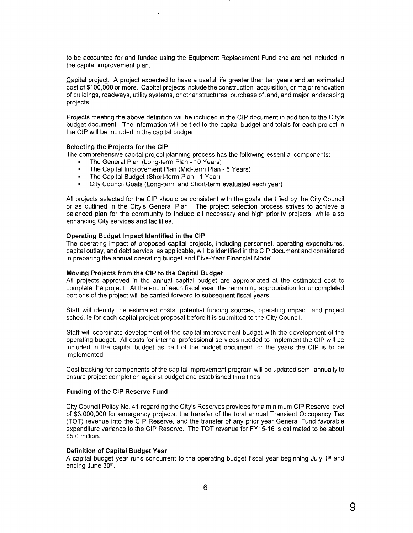to be accounted for and funded using the Equipment Replacement Fund and are not included in the capital improvement plan.

Capital project: A project expected to have a useful life greater than ten years and an estimated cost of \$100,000 or more. Capital projects include the construction, acquisition, or major renovation of buildings, roadways, utility systems, or other structures, purchase of land, and major landscaping projects.

Projects meeting the above definition will be included in the CIP document in addition to the City's budget document. The information will be tied to the capital budget and totals for each project in the CIP will be included in the capital budget.

#### Selecting the Projects for the CIP

The comprehensive capital project planning process has the following essential components:

- The General Plan (Long-term Plan 10 Years)
- The Capital Improvement Plan (Mid-term Plan 5 Years)
- The Capital Budget (Short-term Plan 1 Year)
- City Council Goals (Long-term and Short-term evaluated each year)

All projects selected for the CIP should be consistent with the goals identified by the City Council or as outlined in the City's General Plan. The project selection process strives to achieve a balanced plan for the community to include all necessary and high priority projects, while also enhancing City services and facilities.

#### Operating Budget Impact Identified in the CIP

The operating impact of proposed capital projects, including personnel, operating expenditures, capital outlay, and debt service, as applicable, will be identified in the CIP document and considered in preparing the annual operating budget and Five-Year Financial Model.

#### Moving Projects from the CIP to the Capital Budget

All projects approved in the annual capital budget are appropriated at the estimated cost to complete the project. At the end of each fiscal year, the remaining appropriation for uncompleted portions of the project will be carried forward to subsequent fiscal years.

Staff will identify the estimated costs, potential funding sources, operating impact, and project schedule for each capital project proposal before it is submitted to the City Council.

Staff will coordinate development of the capital improvement budget with the development of the operating budget. All costs for internal professional services needed to implement the CIP will be included in the capital budget as part of the budget document for the years the CIP is to be implemented.

Cost tracking for components of the capital improvement program will be updated semi-annually to ensure project completion against budget and established time lines.

#### Funding of the CIP Reserve Fund

City Council Policy No. 41 regarding the City's Reserves provides for a minimum CIP Reserve level of \$3,000,000 for emergency projects, the transfer of the total annual Transient Occupancy Tax (TOT) revenue into the CIP Reserve, and the transfer of any prior year General Fund favorable expenditure variance to the CIP Reserve. The TOT revenue for FY15-16 is estimated to be about \$5.0 million.

#### Definition of Capital Budget Year

A capital budget year runs concurrent to the operating budget fiscal year beginning July  $1<sup>st</sup>$  and ending June 30<sup>th</sup>.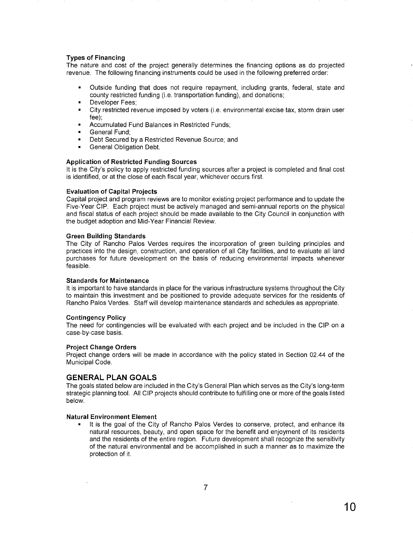#### **Types of Financing**

The nature and cost of the project generally determines the financing options as do projected revenue. The following financing instruments could be used in the following preferred order:

- Outside funding that does not require repayment, including grants, federal, state and county restricted funding (i.e. transportation funding), and donations;
- Developer Fees;
- City restricted revenue imposed by voters (i.e. environmental excise tax, storm drain user fee);
- Accumulated Fund Balances in Restricted Funds;
- General Fund;
- Debt Secured by a Restricted Revenue Source; and
- General Obligation Debt.

#### **Application of Restricted Funding Sources**

It is the City's policy to apply restricted funding sources after a project is completed and final cost is identified, or at the close of each fiscal year, whichever occurs first.

#### **Evaluation of Capital Projects**

Capital project and program reviews are to monitor existing project performance and to update the Five-Year CIP. Each project must be actively managed and semi-annual reports on the physical and fiscal status of each project should be made available to the City Council in conjunction with the budget adoption and Mid-Year Financial Review.

#### **Green Building Standards**

The City of Rancho Palos Verdes requires the incorporation of green building principles and practices into the design, construction, and operation of all City facilities, and to evaluate all land purchases for future development on the basis of reducing environmental impacts whenever feasible.

#### **Standards for Maintenance**

It is important to have standards in place for the various infrastructure systems throughout the City to maintain this investment and be positioned to provide adequate services for the residents of Rancho Palos Verdes. Staff will develop maintenance standards and schedules as appropriate.

#### **Contingency Policy**

The need for contingencies will be evaluated with each project and be included in the CIP on a case-by-case basis.

#### **Project Change Orders**

Project change orders will be made in accordance with the policy stated in Section 02.44 of the Municipal Code.

## **GENERAL PLAN GOALS**

The goals stated below are included in the City's General Plan which serves as the City's long-term strategic planning tool. All CIP projects should contribute to fulfilling one or more of the goals listed below.

#### **Natural Environment Element**

It is the goal of the City of Rancho Palos Verdes to conserve, protect, and enhance its natural resources, beauty, and open space for the benefit and enjoyment of its residents and the residents of the entire region. Future development shall recognize the sensitivity of the natural environmental and be accomplished in such a manner as to maximize the protection of it.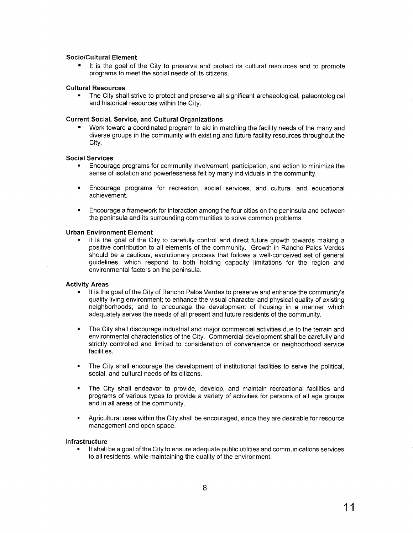#### **Socio/Cultural Element**

It is the goal of the City to preserve and protect its cultural resources and to promote programs to meet the social needs of its citizens.

#### **Cultural Resources**

• The City shall strive to protect and preserve all significant archaeological, paleontological and historical resources within the City.

#### **Current Social, Service, and Cultural Organizations**

• Work toward a coordinated program to aid in matching the facility needs of the many and diverse groups in the community with existing and future facility resources throughout the City.

#### **Social Services**

- Encourage programs for community involvement, participation, and action to minimize the sense of isolation and powerlessness felt by many individuals in the community.
- Encourage programs for recreation, social services, and cultural and educational achievement.
- Encourage a framework for interaction among the four cities on the peninsula and between the peninsula and its surrounding communities to solve common problems.

#### **Urban Environment Element**

• It is the goal of the City to carefully control and direct future growth towards making a positive contribution to all elements of the community. Growth in Rancho Palos Verdes should be a cautious, evolutionary process that follows a well-conceived set of general guidelines, which respond to both holding capacity limitations for the region and environmental factors on the peninsula.

#### **Activity Areas**

- It is the goal of the City of Rancho Palos Verdes to preserve and enhance the community's quality living environment; to enhance the visual character and physical quality of existing neighborhoods; and to encourage the development of housing in a manner which adequately serves the needs of all present and future residents of the community.
- The City shall discourage industrial and major commercial activities due to the terrain and environmental characteristics of the City. Commercial development shall be carefully and strictly controlled and limited to consideration of convenience or neighborhood service facilities.
- The City shall encourage the development of institutional facilities to serve the political, social, and cultural needs of its citizens.
- The City shall endeavor to provide, develop, and maintain recreational facilities and programs of various types to provide a variety of activities for persons of all age groups and in all areas of the community.
- Agricultural uses within the City shall be encouraged, since they are desirable for resource management and open space.

#### **Infrastructure**

• It shall be a goal of the City to ensure adequate public utilities and communications services to all residents, while maintaining the quality of the environment.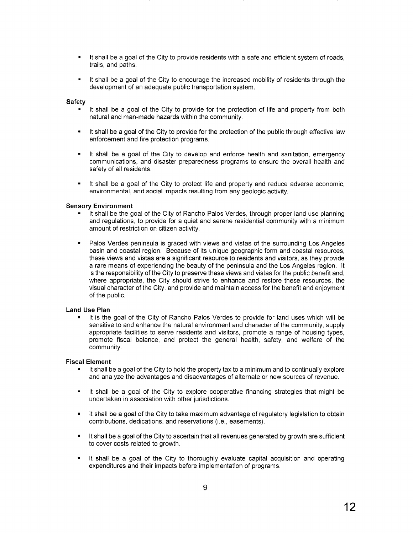- It shall be a goal of the City to provide residents with a safe and efficient system of roads, trails, and paths.
- It shall be a goal of the City to encourage the increased mobility of residents through the development of an adequate public transportation system.

#### **Safety**

- It shall be a goal of the City to provide for the protection of life and property from both natural and man-made hazards within the community.
- It shall be a goal of the City to provide for the protection of the public through effective law enforcement and fire protection programs.
- It shall be a goal of the City to develop and enforce health and sanitation, emergency communications, and disaster preparedness programs to ensure the overall health and safety of all residents.
- It shall be a goal of the City to protect life and property and reduce adverse economic, environmental, and social impacts resulting from any geologic activity.

#### **Sensory Environment**

- It shall be the goal of the City of Rancho Palos Verdes, through proper land use planning and regulations, to provide for a quiet and serene residential community with a minimum amount of restriction on citizen activity.
- Palos Verdes peninsula is graced with views and vistas of the surrounding Los Angeles basin and coastal region. Because of its unique geographic form and coastal resources, these views and vistas are a significant resource to residents and visitors, as they provide a rare means of experiencing the beauty of the peninsula and the Los Angeles region. It is the responsibility of the City to preserve these views and vistas for the public benefit and, where appropriate, the City should strive to enhance and restore these resources, the visual character of the City, and provide and maintain access for the benefit and enjoyment of the public.

#### **Land Use Plan**

• It is the goal of the City of Rancho Palos Verdes to provide for land uses which will be sensitive to and enhance the natural environment and character of the community, supply appropriate facilities to serve residents and visitors, promote a range of housing types, promote fiscal balance, and protect the general health, safety, and welfare of the community.

#### **Fiscal Element**

- It shall be a goal of the City to hold the property tax to a minimum and to continually explore and analyze the advantages and disadvantages of alternate or new sources of revenue.
- It shall be a goal of the City to explore cooperative financing strategies that might be undertaken in association with other jurisdictions.
- It shall be a goal of the City to take maximum advantage of regulatory legislation to obtain contributions, dedications, and reservations (i.e., easements).
- It shall be a goal of the City to ascertain that all revenues generated by growth are sufficient to cover costs related to growth.
- It shall be a goal of the City to thoroughly evaluate capital acquisition and operating expenditures and their impacts before implementation of programs.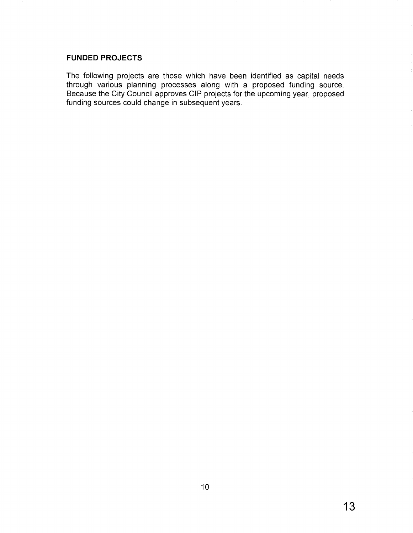## **FUNDED PROJECTS**

The following projects are those which have been identified as capital needs through various planning processes along with a proposed funding source. Because the City Council approves CIP projects for the upcoming year, proposed funding sources could change in subsequent years.

 $\bar{z}$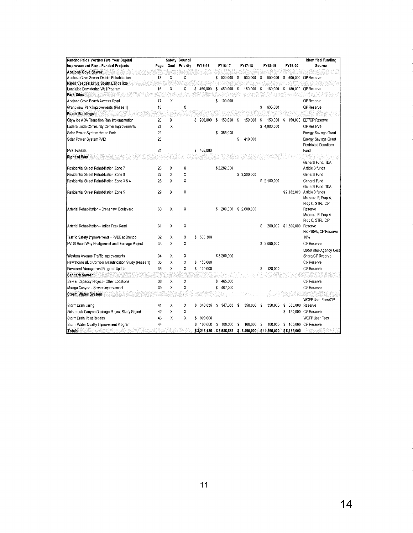| Rancho Palos Verdes Five Year Capital<br>Improvement Plan - Funded Projects | Page | Goal | Safety Council<br>Priority |    | FY15-16     |    | FY16-17     |    | FY17-18      |    | FY18-19      |     | FY19-20             | <b>Identified Funding</b><br>Source                        |
|-----------------------------------------------------------------------------|------|------|----------------------------|----|-------------|----|-------------|----|--------------|----|--------------|-----|---------------------|------------------------------------------------------------|
| <b>Abalone Cove Sewer</b>                                                   |      |      |                            |    |             |    |             |    |              |    |              |     |                     |                                                            |
| Abalone Cove Sew er District Rehabilitation                                 | 13   | X    | Χ                          |    |             | \$ | 500.000     | \$ | 500.000      | s  | 500.000      | \$. |                     | 500.000 CIP Reserve                                        |
| Palos Verdes Drive South Landslide                                          |      |      |                            |    |             |    |             |    |              |    |              |     |                     |                                                            |
| Landslide Dew atering Well Program                                          | 15   | X    | х                          | \$ | 450,000     | \$ | 450,000     | \$ | 180,000      | ŝ  | 180,000      | \$  |                     | 180,000 CIP Reserve                                        |
| Park Sites                                                                  |      |      |                            |    |             |    |             |    |              |    |              |     |                     |                                                            |
| Abalone Cove Beach Access Road                                              | 17   | Х    |                            |    |             |    | \$100,000   |    |              |    |              |     |                     | <b>CIP Reserve</b>                                         |
| Grandview Park Improvements (Phase 1)                                       | 18   |      | χ                          |    |             |    |             |    |              | \$ | 635,000      |     |                     | <b>CIP</b> Reserve                                         |
| <b>Public Buildings</b>                                                     |      |      |                            |    |             |    |             |    |              |    |              |     |                     |                                                            |
| Cityw ide ADA Transition Plan Implementation                                | 20   | Χ    |                            | \$ | 200,000     | \$ | 150,000     | s  | 150,000      | \$ | 150,000      | \$  | 150,000             | <b>EET/CIP Reserve</b>                                     |
| Ladera Linda Community Center Improvements                                  | 21   | X    |                            |    |             |    |             |    |              |    | \$4.000,000  |     |                     | <b>CIP Reserve</b>                                         |
| Solar Pow er System Hesse Park                                              | 22   |      |                            |    |             | Ŝ  | 385,000     |    |              |    |              |     |                     | <b>Energy Savings Grant</b>                                |
| Solar Pow er System PVIC                                                    | 23   |      |                            |    |             |    |             | s  | 410,000      |    |              |     |                     | <b>Energy Savings Grant</b><br><b>Restricted Donations</b> |
| <b>PVIC Exhibits</b>                                                        | 24   |      |                            |    | \$455,000   |    |             |    |              |    |              |     |                     | Fund                                                       |
| <b>Right of Way</b>                                                         |      |      |                            |    |             |    |             |    |              |    |              |     |                     | General Fund, TDA                                          |
| Residential Street Rehabilitation Zone 7                                    | 26   | х    | х                          |    |             |    | \$2,282,000 |    |              |    |              |     |                     | Article 3 funds                                            |
| Residential Street Rehabilitation Zone 8                                    | 27   | X    | χ                          |    |             |    |             |    | \$2,200,000  |    |              |     |                     | General Fund                                               |
| Residential Street Rehabilitation Zone 3 & 4                                | 28   | x    | X                          |    |             |    |             |    |              |    | \$2,100,000  |     |                     | General Fund                                               |
|                                                                             |      |      |                            |    |             |    |             |    |              |    |              |     |                     | General Fund, TDA                                          |
| Residential Street Rehabilitation Zone 5                                    | 29   | X    | X                          |    |             |    |             |    |              |    |              |     |                     | \$2,182,000 Article 3 funds                                |
|                                                                             |      |      |                            |    |             |    |             |    |              |    |              |     |                     | Measure R, Prop A,                                         |
|                                                                             |      |      |                            |    |             |    |             |    |              |    |              |     |                     | Prop C, STPL, CIP                                          |
| Arterial Rehabilitation - Crenshaw Boulevard                                | 30   | Χ    | χ                          |    |             | \$ | 200,000     |    | \$2,600,000  |    |              |     |                     | Reserve                                                    |
|                                                                             |      |      |                            |    |             |    |             |    |              |    |              |     |                     | Measure R, Prop A,                                         |
|                                                                             | 31   |      |                            |    |             |    |             |    |              | s  |              |     |                     | Prop C, STPL, CIP                                          |
| Arterial Rehabilitation - Indian Peak Road                                  |      | χ    | Χ                          |    |             |    |             |    |              |    |              |     | 200,000 \$1,600,000 | Reserve<br>HSIP 90%, CIP Reserve                           |
| Traffic Safety Improvements - PVDE at Bronco                                | 32   | х    | Χ                          | \$ | 500,300     |    |             |    |              |    |              |     |                     | 10%                                                        |
| PVDS Road Way Realignment and Drainage Project                              | 33   | X    | X                          |    |             |    |             |    |              |    | \$ 3,060,000 |     |                     | <b>CIP Reserve</b>                                         |
|                                                                             |      |      |                            |    |             |    |             |    |              |    |              |     |                     | 50/50 Inter-Agency Cost-                                   |
| Western Avenue Traffic Improvements                                         | 34   | X    | X                          |    |             |    | \$3,200,000 |    |              |    |              |     |                     | Share/CIP Reserve                                          |
| Haw thorne Blvd Corridor Beautification Study (Phase 1)                     | 35   | X    | Χ                          | \$ | 150,000     |    |             |    |              |    |              |     |                     | <b>CIP Reserve</b>                                         |
| Pavement Management Program Update                                          | 36   | X    | χ                          |    | \$120,000   |    |             |    |              | \$ | 120,000      |     |                     | CIP Reserve                                                |
| <b>Sanitary Sewer</b>                                                       |      |      |                            |    |             |    |             |    |              |    |              |     |                     |                                                            |
| Sew er Capacity Project - Other Locations                                   | 38   | χ    | Χ                          |    |             | \$ | 465,000     |    |              |    |              |     |                     | <b>CIP Reserve</b>                                         |
| Malaga Canyon - Sew er Improvement                                          | 39   | X    | X                          |    |             | \$ | 407.000     |    |              |    |              |     |                     | <b>CIP Reserve</b>                                         |
|                                                                             |      |      |                            |    |             |    |             |    |              |    |              |     |                     |                                                            |
| Storm Water System                                                          |      |      |                            |    |             |    |             |    |              |    |              |     |                     | WQFP User Fees/CIP                                         |
| Storm Drain Lining                                                          | 41   | X    | Χ                          | S  | 340.836     | s  | 347,653     | \$ | 350.000      | S  | 350.000      | s   |                     | 350,000 Reserve                                            |
| Paintbrush Canyon Drainage Project Study Report                             | 42   | X    | Χ                          |    |             |    |             |    |              |    |              | Ŝ.  |                     | 120,000 CIP Reserve                                        |
| Storm Drain Point Repairs                                                   | 43   | X    | X                          | \$ | 900.000     |    |             |    |              |    |              |     |                     | <b>WOFP User Fees</b>                                      |
| Storm Water Quality Improvement Program                                     | 44   |      |                            | S  | 100,000     | \$ | 100,000     | S  | 100,000      | S  | 100,000      | \$  |                     | 100,000 CIP Reserve                                        |
| <b>Totals</b>                                                               |      |      |                            |    | \$3,216,136 |    | \$8,586,653 |    | \$.6,490,000 |    | \$11,395,000 |     | \$5,182,000         |                                                            |

 $\ddot{\cdot}$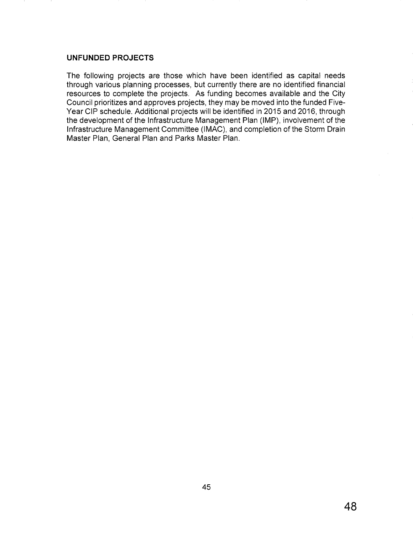## **UNFUNDED PROJECTS**

The following projects are those which have been identified as capital needs through various planning processes, but currently there are no identified financial resources to complete the projects. As funding becomes available and the City Council prioritizes and approves projects, they may be moved into the funded Five-Year CIP schedule. Additional projects will be identified in 2015 and 2016, through the development of the Infrastructure Management Plan (IMP), involvement of the Infrastructure Management Committee (IMAC), and completion of the Storm Drain Master Plan, General Plan and Parks Master Plan.